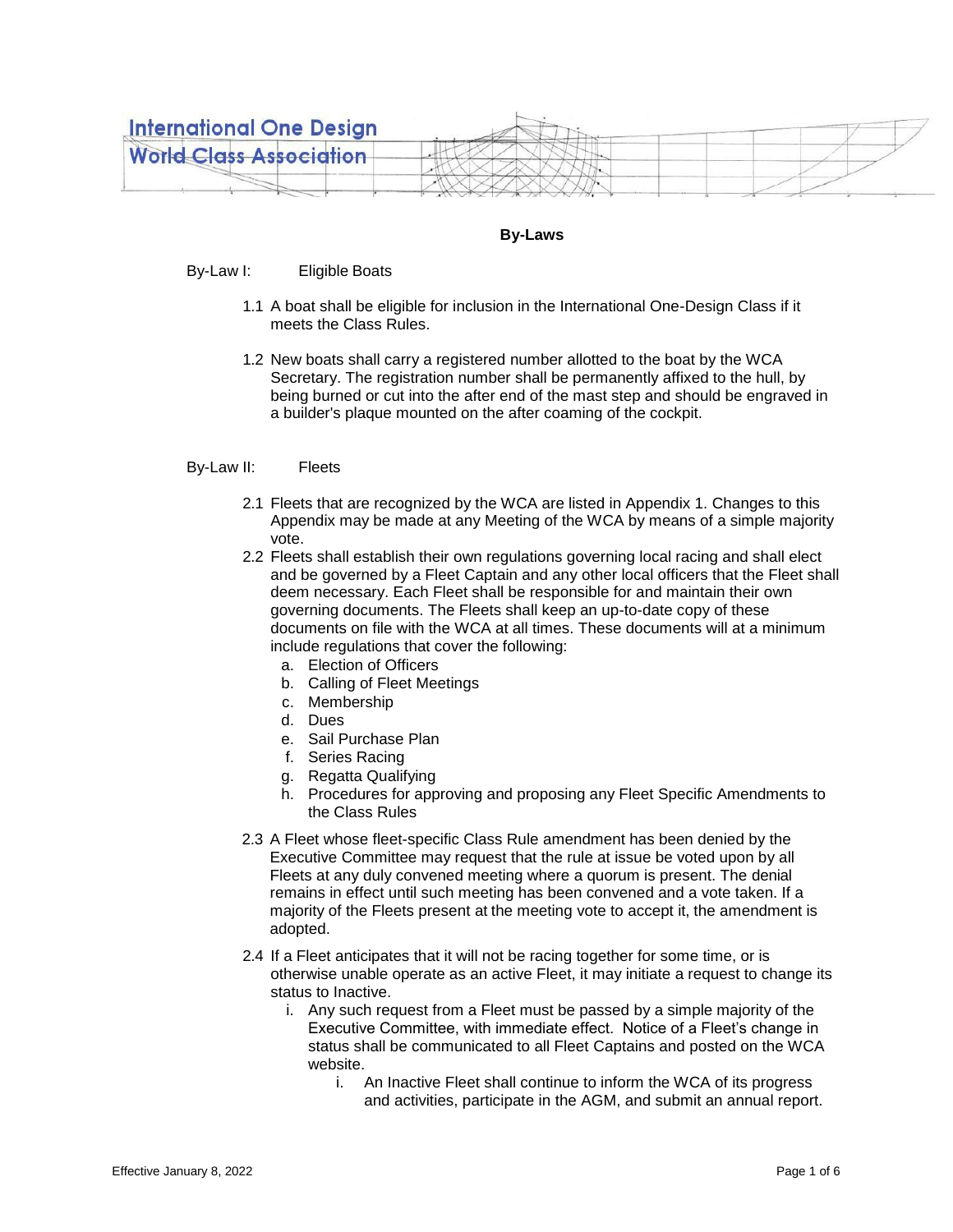

## **By-Laws**

By-Law I: Eligible Boats

- 1.1 A boat shall be eligible for inclusion in the International One-Design Class if it meets the Class Rules.
- 1.2 New boats shall carry a registered number allotted to the boat by the WCA Secretary. The registration number shall be permanently affixed to the hull, by being burned or cut into the after end of the mast step and should be engraved in a builder's plaque mounted on the after coaming of the cockpit.

## By-Law II: Fleets

- 2.1 Fleets that are recognized by the WCA are listed in Appendix 1. Changes to this Appendix may be made at any Meeting of the WCA by means of a simple majority vote.
- 2.2 Fleets shall establish their own regulations governing local racing and shall elect and be governed by a Fleet Captain and any other local officers that the Fleet shall deem necessary. Each Fleet shall be responsible for and maintain their own governing documents. The Fleets shall keep an up-to-date copy of these documents on file with the WCA at all times. These documents will at a minimum include regulations that cover the following:
	- a. Election of Officers
	- b. Calling of Fleet Meetings
	- c. Membership
	- d. Dues
	- e. Sail Purchase Plan
	- f. Series Racing
	- g. Regatta Qualifying
	- h. Procedures for approving and proposing any Fleet Specific Amendments to the Class Rules
- 2.3 A Fleet whose fleet-specific Class Rule amendment has been denied by the Executive Committee may request that the rule at issue be voted upon by all Fleets at any duly convened meeting where a quorum is present. The denial remains in effect until such meeting has been convened and a vote taken. If a majority of the Fleets present at the meeting vote to accept it, the amendment is adopted.
- 2.4 If a Fleet anticipates that it will not be racing together for some time, or is otherwise unable operate as an active Fleet, it may initiate a request to change its status to Inactive.
	- i. Any such request from a Fleet must be passed by a simple majority of the Executive Committee, with immediate effect. Notice of a Fleet's change in status shall be communicated to all Fleet Captains and posted on the WCA website.
		- i. An Inactive Fleet shall continue to inform the WCA of its progress and activities, participate in the AGM, and submit an annual report.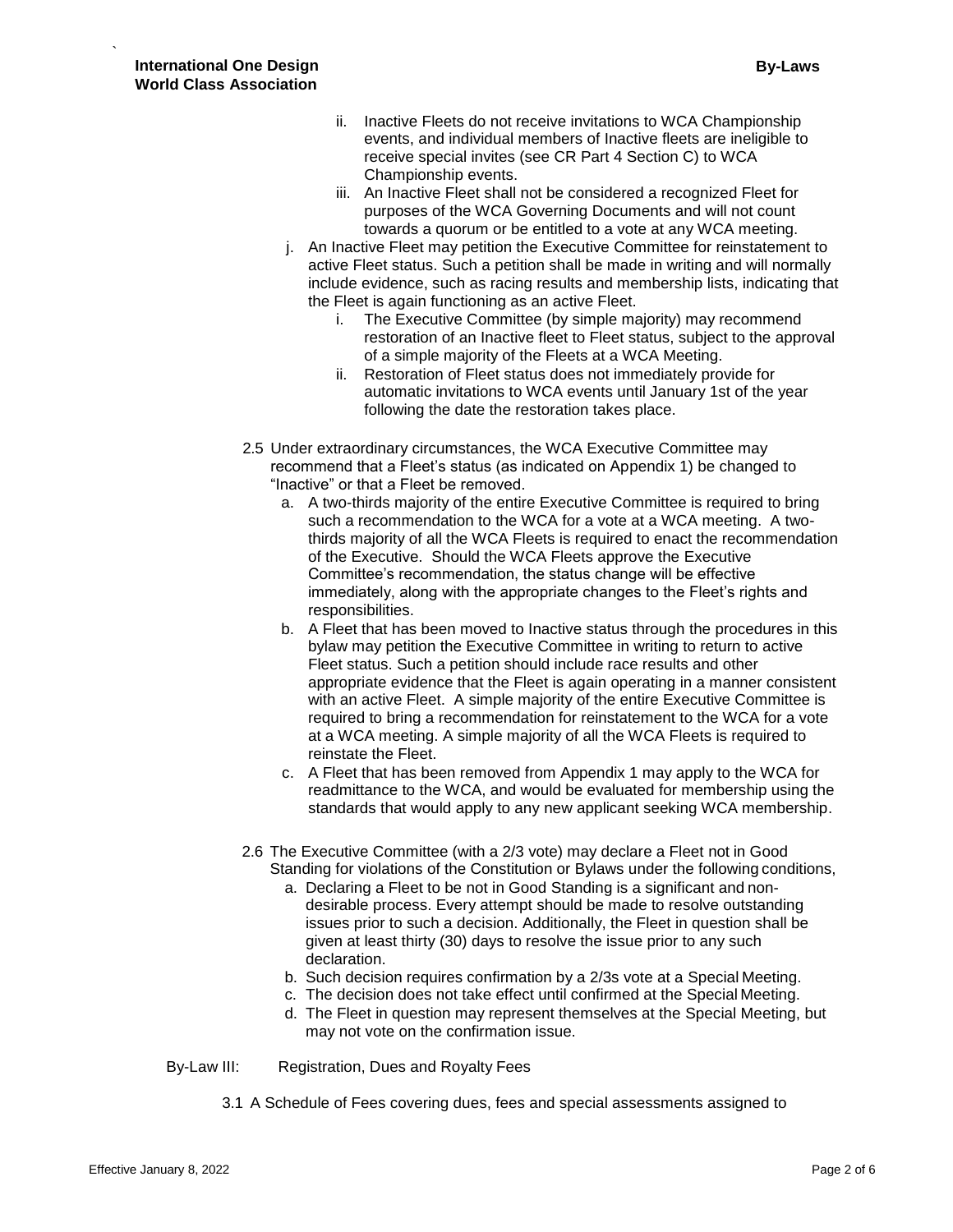- ii. Inactive Fleets do not receive invitations to WCA Championship events, and individual members of Inactive fleets are ineligible to receive special invites (see CR Part 4 Section C) to WCA Championship events.
- iii. An Inactive Fleet shall not be considered a recognized Fleet for purposes of the WCA Governing Documents and will not count towards a quorum or be entitled to a vote at any WCA meeting.
- j. An Inactive Fleet may petition the Executive Committee for reinstatement to active Fleet status. Such a petition shall be made in writing and will normally include evidence, such as racing results and membership lists, indicating that the Fleet is again functioning as an active Fleet.
	- i. The Executive Committee (by simple majority) may recommend restoration of an Inactive fleet to Fleet status, subject to the approval of a simple majority of the Fleets at a WCA Meeting.
	- ii. Restoration of Fleet status does not immediately provide for automatic invitations to WCA events until January 1st of the year following the date the restoration takes place.
- 2.5 Under extraordinary circumstances, the WCA Executive Committee may recommend that a Fleet's status (as indicated on Appendix 1) be changed to "Inactive" or that a Fleet be removed.
	- a. A two-thirds majority of the entire Executive Committee is required to bring such a recommendation to the WCA for a vote at a WCA meeting. A twothirds majority of all the WCA Fleets is required to enact the recommendation of the Executive. Should the WCA Fleets approve the Executive Committee's recommendation, the status change will be effective immediately, along with the appropriate changes to the Fleet's rights and responsibilities.
	- b. A Fleet that has been moved to Inactive status through the procedures in this bylaw may petition the Executive Committee in writing to return to active Fleet status. Such a petition should include race results and other appropriate evidence that the Fleet is again operating in a manner consistent with an active Fleet. A simple majority of the entire Executive Committee is required to bring a recommendation for reinstatement to the WCA for a vote at a WCA meeting. A simple majority of all the WCA Fleets is required to reinstate the Fleet.
	- c. A Fleet that has been removed from Appendix 1 may apply to the WCA for readmittance to the WCA, and would be evaluated for membership using the standards that would apply to any new applicant seeking WCA membership.
- 2.6 The Executive Committee (with a 2/3 vote) may declare a Fleet not in Good Standing for violations of the Constitution or Bylaws under the following conditions,
	- a. Declaring a Fleet to be not in Good Standing is a significant and nondesirable process. Every attempt should be made to resolve outstanding issues prior to such a decision. Additionally, the Fleet in question shall be given at least thirty (30) days to resolve the issue prior to any such declaration.
	- b. Such decision requires confirmation by a 2/3s vote at a Special Meeting.
	- c. The decision does not take effect until confirmed at the Special Meeting.
	- d. The Fleet in question may represent themselves at the Special Meeting, but may not vote on the confirmation issue.
- By-Law III: Registration, Dues and Royalty Fees
	- 3.1 A Schedule of Fees covering dues, fees and special assessments assigned to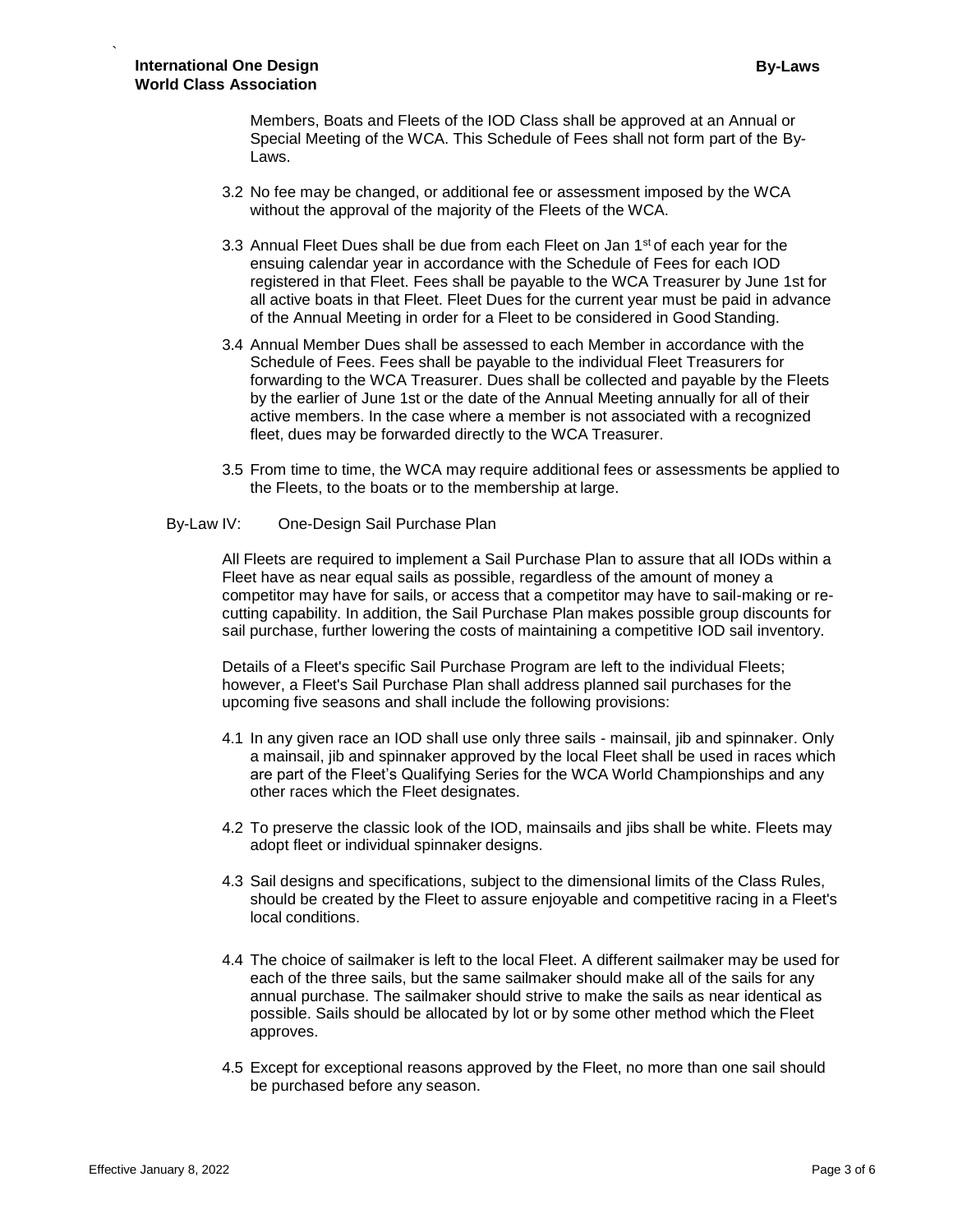Members, Boats and Fleets of the IOD Class shall be approved at an Annual or Special Meeting of the WCA. This Schedule of Fees shall not form part of the By-Laws.

- 3.2 No fee may be changed, or additional fee or assessment imposed by the WCA without the approval of the majority of the Fleets of the WCA.
- 3.3 Annual Fleet Dues shall be due from each Fleet on Jan  $1<sup>st</sup>$  of each year for the ensuing calendar year in accordance with the Schedule of Fees for each IOD registered in that Fleet. Fees shall be payable to the WCA Treasurer by June 1st for all active boats in that Fleet. Fleet Dues for the current year must be paid in advance of the Annual Meeting in order for a Fleet to be considered in Good Standing.
- 3.4 Annual Member Dues shall be assessed to each Member in accordance with the Schedule of Fees. Fees shall be payable to the individual Fleet Treasurers for forwarding to the WCA Treasurer. Dues shall be collected and payable by the Fleets by the earlier of June 1st or the date of the Annual Meeting annually for all of their active members. In the case where a member is not associated with a recognized fleet, dues may be forwarded directly to the WCA Treasurer.
- 3.5 From time to time, the WCA may require additional fees or assessments be applied to the Fleets, to the boats or to the membership at large.

## By-Law IV: One-Design Sail Purchase Plan

All Fleets are required to implement a Sail Purchase Plan to assure that all IODs within a Fleet have as near equal sails as possible, regardless of the amount of money a competitor may have for sails, or access that a competitor may have to sail-making or recutting capability. In addition, the Sail Purchase Plan makes possible group discounts for sail purchase, further lowering the costs of maintaining a competitive IOD sail inventory.

Details of a Fleet's specific Sail Purchase Program are left to the individual Fleets; however, a Fleet's Sail Purchase Plan shall address planned sail purchases for the upcoming five seasons and shall include the following provisions:

- 4.1 In any given race an IOD shall use only three sails mainsail, jib and spinnaker. Only a mainsail, jib and spinnaker approved by the local Fleet shall be used in races which are part of the Fleet's Qualifying Series for the WCA World Championships and any other races which the Fleet designates.
- 4.2 To preserve the classic look of the IOD, mainsails and jibs shall be white. Fleets may adopt fleet or individual spinnaker designs.
- 4.3 Sail designs and specifications, subject to the dimensional limits of the Class Rules, should be created by the Fleet to assure enjoyable and competitive racing in a Fleet's local conditions.
- 4.4 The choice of sailmaker is left to the local Fleet. A different sailmaker may be used for each of the three sails, but the same sailmaker should make all of the sails for any annual purchase. The sailmaker should strive to make the sails as near identical as possible. Sails should be allocated by lot or by some other method which the Fleet approves.
- 4.5 Except for exceptional reasons approved by the Fleet, no more than one sail should be purchased before any season.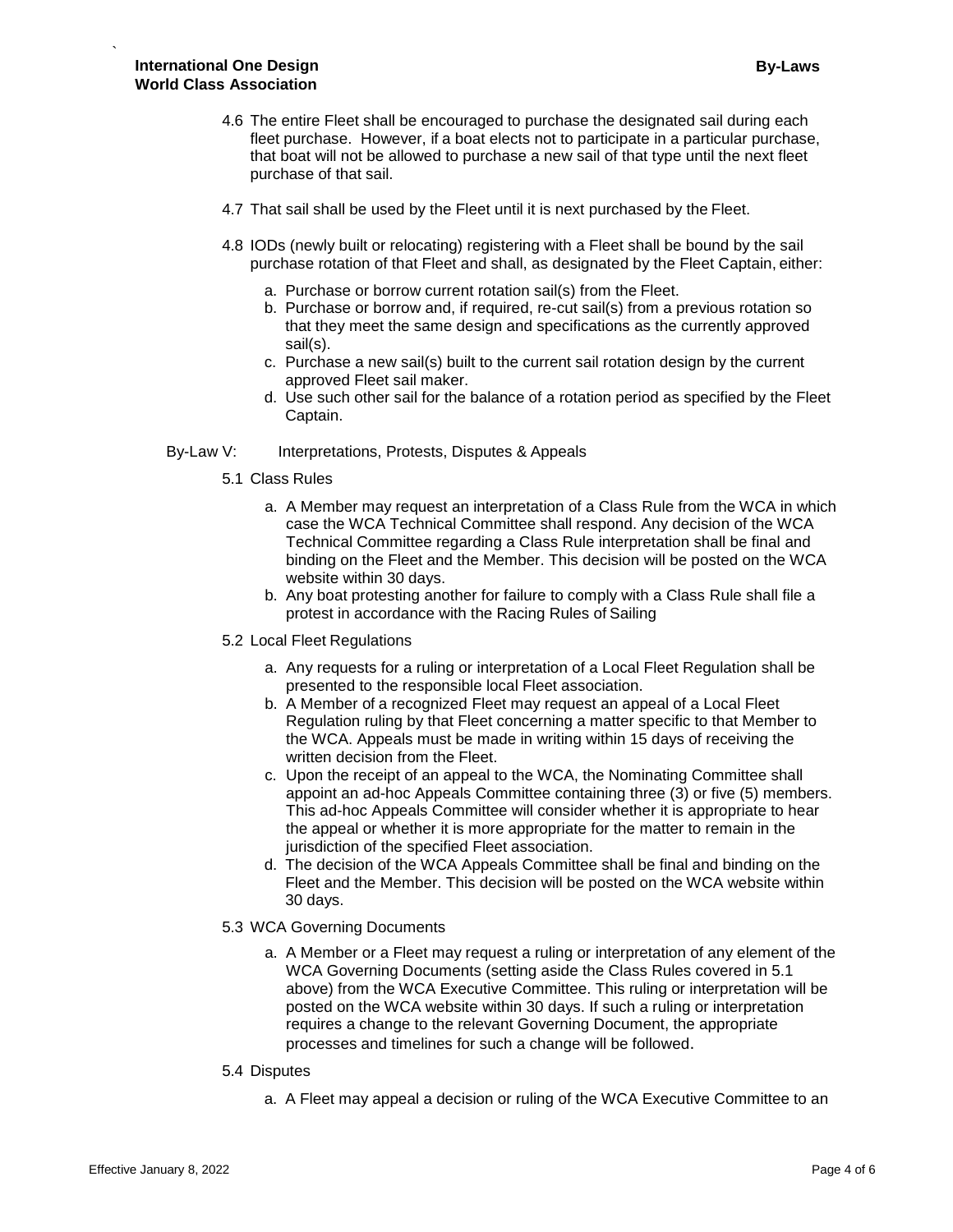- 4.6 The entire Fleet shall be encouraged to purchase the designated sail during each fleet purchase. However, if a boat elects not to participate in a particular purchase, that boat will not be allowed to purchase a new sail of that type until the next fleet purchase of that sail.
- 4.7 That sail shall be used by the Fleet until it is next purchased by the Fleet.
- 4.8 IODs (newly built or relocating) registering with a Fleet shall be bound by the sail purchase rotation of that Fleet and shall, as designated by the Fleet Captain, either:
	- a. Purchase or borrow current rotation sail(s) from the Fleet.
	- b. Purchase or borrow and, if required, re-cut sail(s) from a previous rotation so that they meet the same design and specifications as the currently approved sail(s).
	- c. Purchase a new sail(s) built to the current sail rotation design by the current approved Fleet sail maker.
	- d. Use such other sail for the balance of a rotation period as specified by the Fleet Captain.

## By-Law V: Interpretations, Protests, Disputes & Appeals

- 5.1 Class Rules
	- a. A Member may request an interpretation of a Class Rule from the WCA in which case the WCA Technical Committee shall respond. Any decision of the WCA Technical Committee regarding a Class Rule interpretation shall be final and binding on the Fleet and the Member. This decision will be posted on the WCA website within 30 days.
	- b. Any boat protesting another for failure to comply with a Class Rule shall file a protest in accordance with the Racing Rules of Sailing

## 5.2 Local Fleet Regulations

- a. Any requests for a ruling or interpretation of a Local Fleet Regulation shall be presented to the responsible local Fleet association.
- b. A Member of a recognized Fleet may request an appeal of a Local Fleet Regulation ruling by that Fleet concerning a matter specific to that Member to the WCA. Appeals must be made in writing within 15 days of receiving the written decision from the Fleet.
- c. Upon the receipt of an appeal to the WCA, the Nominating Committee shall appoint an ad-hoc Appeals Committee containing three (3) or five (5) members. This ad-hoc Appeals Committee will consider whether it is appropriate to hear the appeal or whether it is more appropriate for the matter to remain in the jurisdiction of the specified Fleet association.
- d. The decision of the WCA Appeals Committee shall be final and binding on the Fleet and the Member. This decision will be posted on the WCA website within 30 days.

## 5.3 WCA Governing Documents

a. A Member or a Fleet may request a ruling or interpretation of any element of the WCA Governing Documents (setting aside the Class Rules covered in 5.1 above) from the WCA Executive Committee. This ruling or interpretation will be posted on the WCA website within 30 days. If such a ruling or interpretation requires a change to the relevant Governing Document, the appropriate processes and timelines for such a change will be followed.

#### 5.4 Disputes

a. A Fleet may appeal a decision or ruling of the WCA Executive Committee to an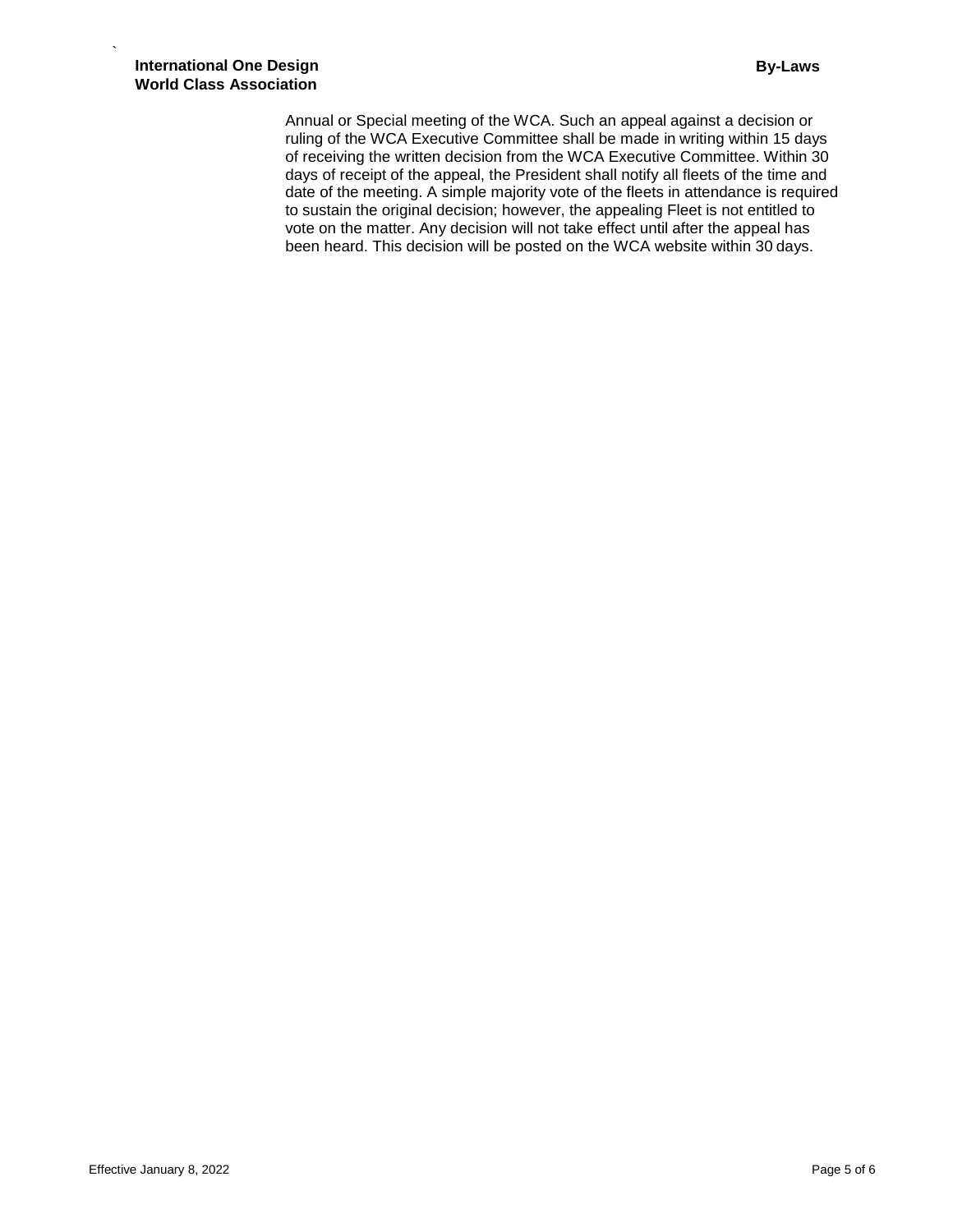Annual or Special meeting of the WCA. Such an appeal against a decision or ruling of the WCA Executive Committee shall be made in writing within 15 days of receiving the written decision from the WCA Executive Committee. Within 30 days of receipt of the appeal, the President shall notify all fleets of the time and date of the meeting. A simple majority vote of the fleets in attendance is required to sustain the original decision; however, the appealing Fleet is not entitled to vote on the matter. Any decision will not take effect until after the appeal has been heard. This decision will be posted on the WCA website within 30 days.